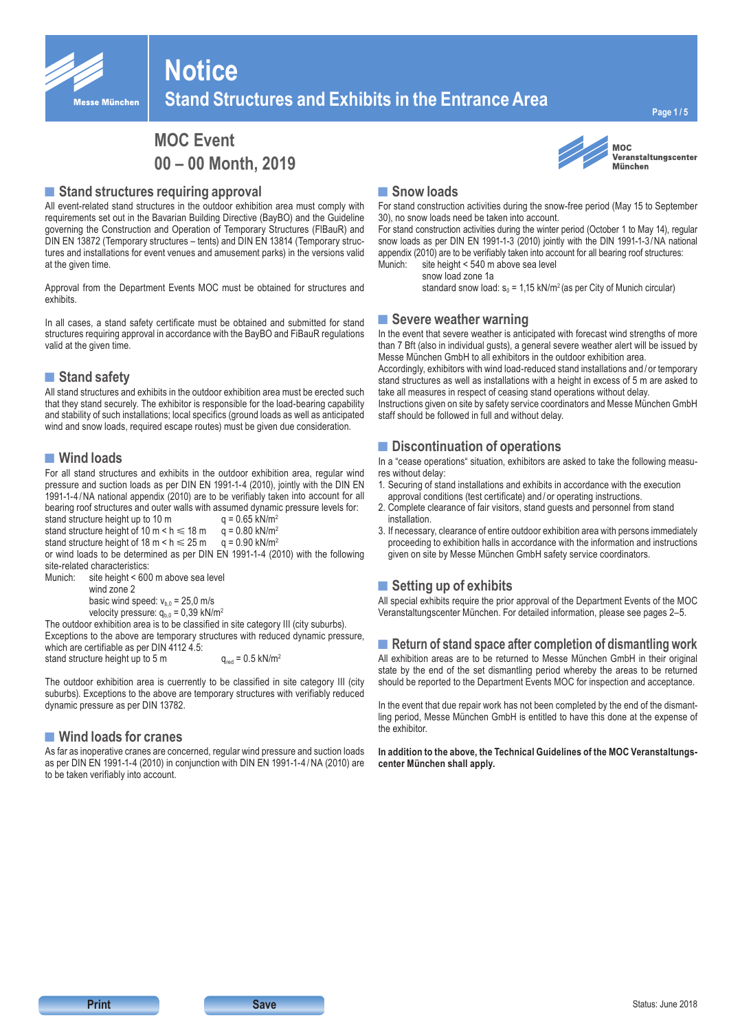

# **Notice Stand Structures and Exhibits in the Entrance Area**

**Page 1 / 5**

## **MOC Event 00 – 00 Month, 2019**

#### ■ Stand structures requiring approval

All event-related stand structures in the outdoor exhibition area must comply with requirements set out in the Bavarian Building Directive (BayBO) and the Guideline governing the Construction and Operation of Temporary Structures (FlBauR) and DIN EN 13872 (Temporary structures – tents) and DIN EN 13814 (Temporary structures and installations for event venues and amusement parks) in the versions valid at the given time.

Approval from the Department Events MOC must be obtained for structures and exhibits.

In all cases, a stand safety certificate must be obtained and submitted for stand structures requiring approval in accordance with the BayBO and FiBauR regulations valid at the given time.

#### ■ Stand safety

All stand structures and exhibits in the outdoor exhibition area must be erected such that they stand securely. The exhibitor is responsible for the load-bearing capability and stability of such installations; local specifics (ground loads as well as anticipated wind and snow loads, required escape routes) must be given due consideration.

#### **■Wind loads**

For all stand structures and exhibits in the outdoor exhibition area, regular wind pressure and suction loads as per DIN EN 1991-1-4 (2010), jointly with the DIN EN 1991-1-4 /NA national appendix (2010) are to be verifiably taken into account for all bearing roof structures and outer walls with assumed dynamic pressure levels for:<br>stand structure height up to 10 m<br> $q = 0.65 \text{ kN/m}^2$ 

stand structure height up to  $10 \text{ m}$ stand structure height of 10 m < h  $\leq$  18 m q = 0.80 kN/m<sup>2</sup><br>stand structure height of 18 m < h  $\leq$  25 m q = 0.90 kN/m<sup>2</sup>

stand structure height of 18 m  $\leq h \leq 25$  m or wind loads to be determined as per DIN EN 1991-1-4 (2010) with the following

site-related characteristics:

Munich: site height < 600 m above sea level wind zone 2 basic wind speed:  $v_{b,0} = 25,0$  m/s

velocity pressure:  $q_{b,0} = 0,39$  kN/m<sup>2</sup>

The outdoor exhibition area is to be classified in site category III (city suburbs). Exceptions to the above are temporary structures with reduced dynamic pressure, which are certifiable as per DIN 4112 4.5:

stand structure height up to 5 m  $q_{\text{rad}} = 0.5 \text{ kN/m}^2$ 

The outdoor exhibition area is cuerrently to be classified in site category III (city suburbs). Exceptions to the above are temporary structures with verifiably reduced dynamic pressure as per DIN 13782.

#### **■Wind loads for cranes**

As far as inoperative cranes are concerned, regular wind pressure and suction loads as per DIN EN 1991-1-4 (2010) in conjunction with DIN EN 1991-1-4 /NA (2010) are to be taken verifiably into account.



#### **MOC** Veranstaltungscenter **München**

#### ■ Snow loads

For stand construction activities during the snow-free period (May 15 to September 30), no snow loads need be taken into account.

For stand construction activities during the winter period (October 1 to May 14), regular snow loads as per DIN EN 1991-1-3 (2010) jointly with the DIN 1991-1-3/NA national appendix (2010) are to be verifiably taken into account for all bearing roof structures:<br>Munich: site beight < 540 m above sea level site height < 540 m above sea level

snow load zone 1a

standard snow load:  $s_0 = 1,15$  kN/m<sup>2</sup> (as per City of Munich circular)

#### **■Severe weather warning**

In the event that severe weather is anticipated with forecast wind strengths of more than 7 Bft (also in individual gusts), a general severe weather alert will be issued by Messe München GmbH to all exhibitors in the outdoor exhibition area.

Accordingly, exhibitors with wind load-reduced stand installations and / or temporary stand structures as well as installations with a height in excess of 5 m are asked to take all measures in respect of ceasing stand operations without delay.

Instructions given on site by safety service coordinators and Messe München GmbH staff should be followed in full and without delay.

#### ■ Discontinuation of operations

In a "cease operations" situation, exhibitors are asked to take the following measures without delay:

- 1. Securing of stand installations and exhibits in accordance with the execution approval conditions (test certificate) and / or operating instructions.
- 2. Complete clearance of fair visitors, stand guests and personnel from stand installation.
- 3. If necessary, clearance of entire outdoor exhibition area with persons immediately proceeding to exhibition halls in accordance with the information and instructions given on site by Messe München GmbH safety service coordinators.

### **■Setting up of exhibits**

All special exhibits require the prior approval of the Department Events of the MOC Veranstaltungscenter München. For detailed information, please see pages 2–5.

■ **Return of stand space after completion of dismantling work** All exhibition areas are to be returned to Messe München GmbH in their original state by the end of the set dismantling period whereby the areas to be returned should be reported to the Department Events MOC for inspection and acceptance.

In the event that due repair work has not been completed by the end of the dismantling period, Messe München GmbH is entitled to have this done at the expense of the exhibitor.

**In addition to the above, the Technical Guidelines of the MOC Veranstaltungscenter München shall apply.**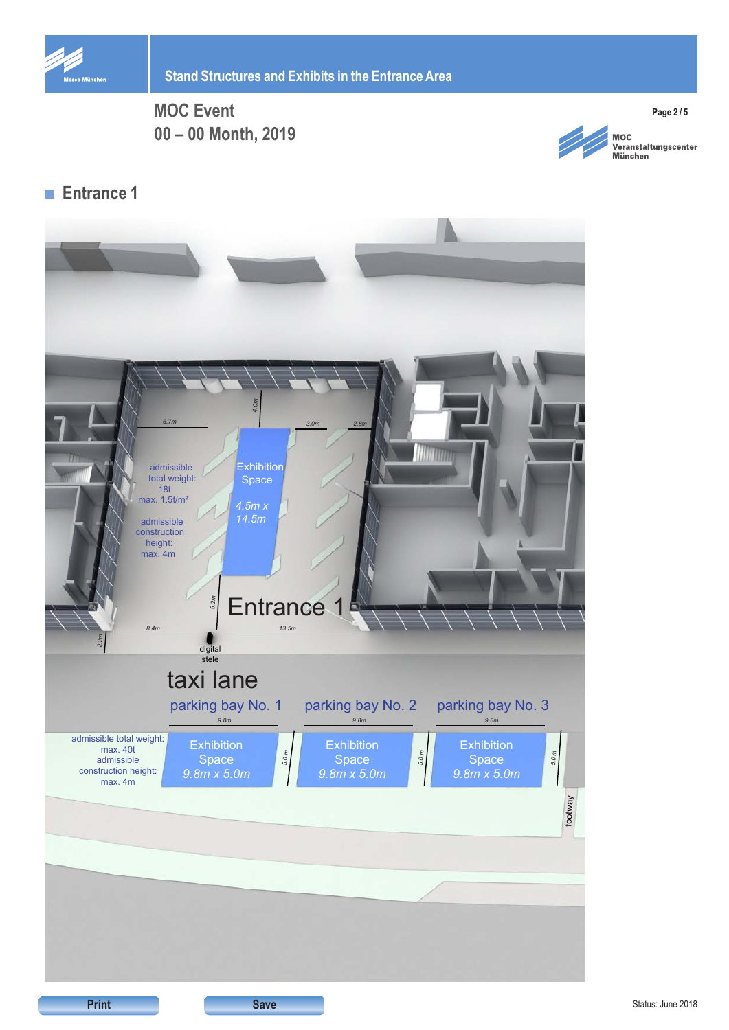



**MOC** wood<br>Veranstaltungscenter<br>München

**Page 2 / 5**

## **■ Entrance 1**

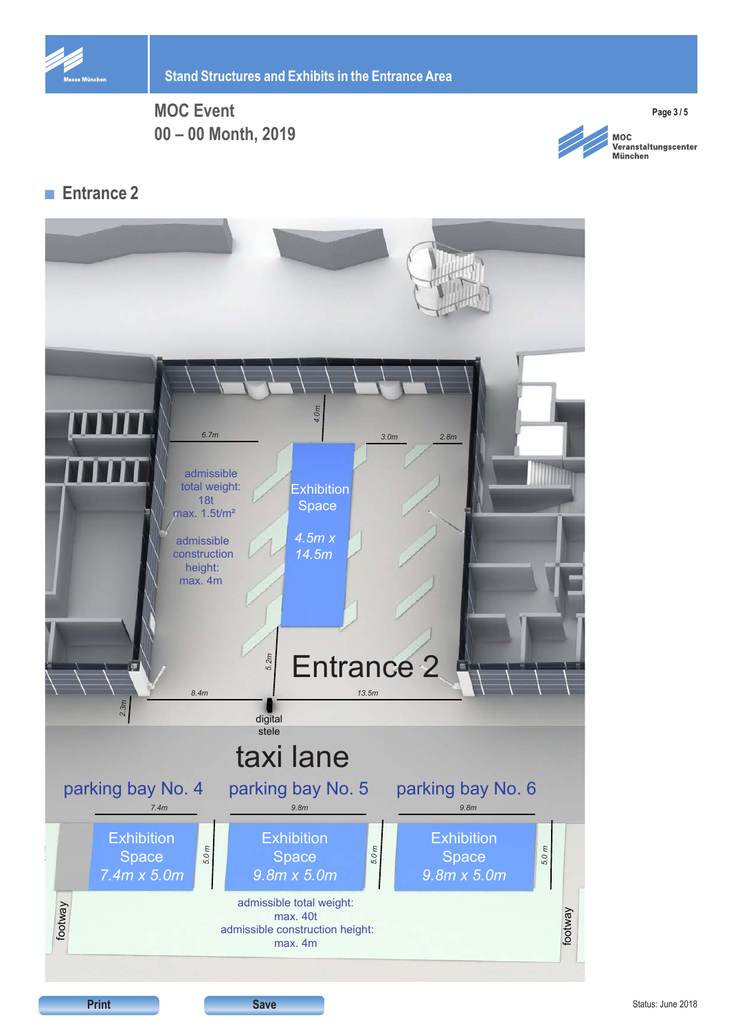



**MOC** wood<br>Veranstaltungscenter<br>München

**Page 3 / 5**

## **■ Entrance 2**



Status: June 2018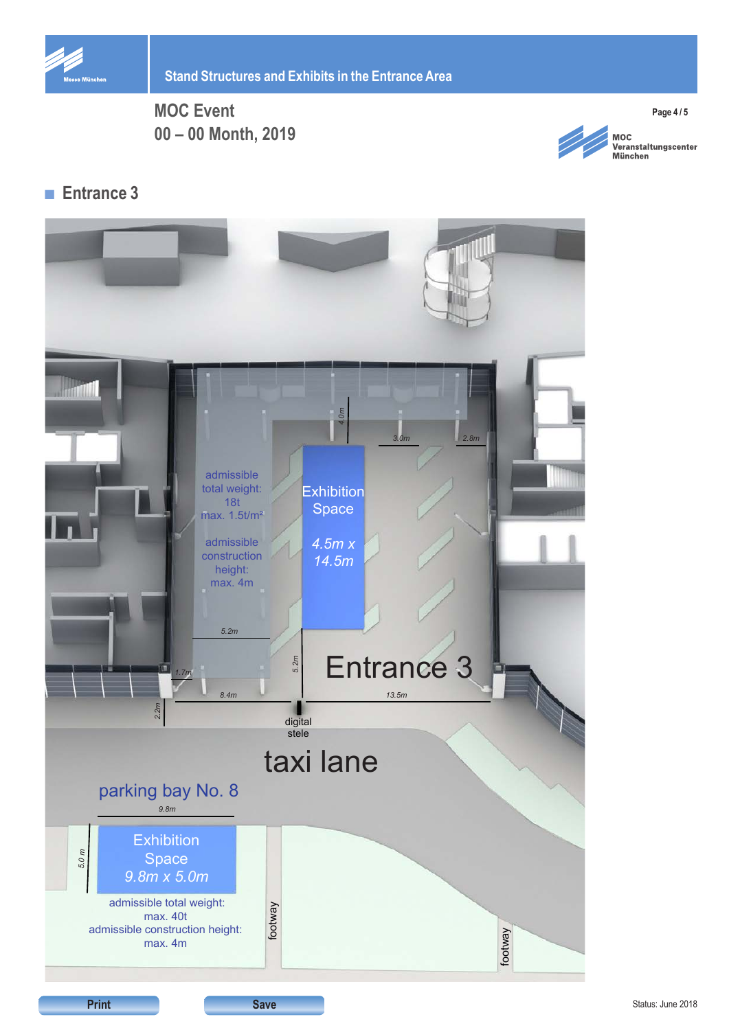



**MOC** woc<br>Veranstaltungscenter<br>München

**Page 4 / 5**

## **■ Entrance 3**